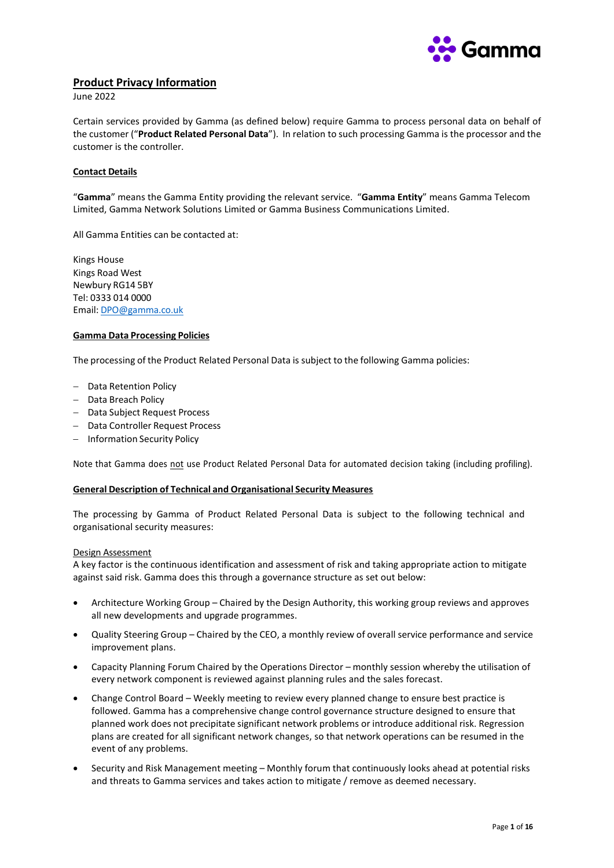

# **Product Privacy Information**

June 2022

Certain services provided by Gamma (as defined below) require Gamma to process personal data on behalf of the customer ("**Product Related Personal Data**"). In relation to such processing Gamma is the processor and the customer is the controller.

### **Contact Details**

"**Gamma**" means the Gamma Entity providing the relevant service. "**Gamma Entity**" means Gamma Telecom Limited, Gamma Network Solutions Limited or Gamma Business Communications Limited.

All Gamma Entities can be contacted at:

Kings House Kings Road West Newbury RG14 5BY Tel: 0333 014 0000 Email: [DPO@gamma.co.uk](mailto:DPO@gamma.co.uk)

#### **Gamma Data Processing Policies**

The processing of the Product Related Personal Data is subject to the following Gamma policies:

- − Data Retention Policy
- − Data Breach Policy
- − Data Subject Request Process
- − Data Controller Request Process
- − Information Security Policy

Note that Gamma does not use Product Related Personal Data for automated decision taking (including profiling).

### **General Description of Technical and Organisational Security Measures**

The processing by Gamma of Product Related Personal Data is subject to the following technical and organisational security measures:

#### Design Assessment

A key factor is the continuous identification and assessment of risk and taking appropriate action to mitigate against said risk. Gamma does this through a governance structure as set out below:

- Architecture Working Group Chaired by the Design Authority, this working group reviews and approves all new developments and upgrade programmes.
- Quality Steering Group Chaired by the CEO, a monthly review of overall service performance and service improvement plans.
- Capacity Planning Forum Chaired by the Operations Director monthly session whereby the utilisation of every network component is reviewed against planning rules and the sales forecast.
- Change Control Board Weekly meeting to review every planned change to ensure best practice is followed. Gamma has a comprehensive change control governance structure designed to ensure that planned work does not precipitate significant network problems or introduce additional risk. Regression plans are created for all significant network changes, so that network operations can be resumed in the event of any problems.
- Security and Risk Management meeting Monthly forum that continuously looks ahead at potential risks and threats to Gamma services and takes action to mitigate / remove as deemed necessary.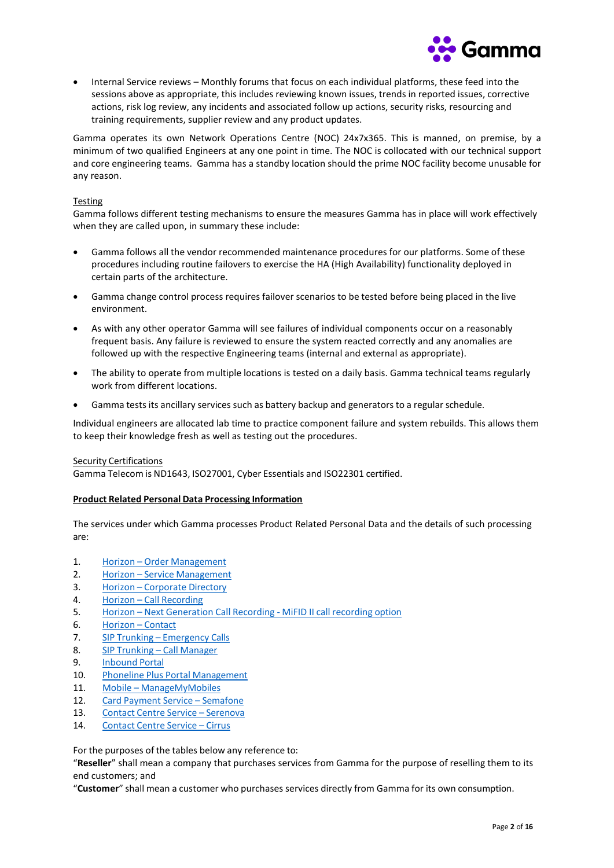

• Internal Service reviews – Monthly forums that focus on each individual platforms, these feed into the sessions above as appropriate, this includes reviewing known issues, trends in reported issues, corrective actions, risk log review, any incidents and associated follow up actions, security risks, resourcing and training requirements, supplier review and any product updates.

Gamma operates its own Network Operations Centre (NOC) 24x7x365. This is manned, on premise, by a minimum of two qualified Engineers at any one point in time. The NOC is collocated with our technical support and core engineering teams. Gamma has a standby location should the prime NOC facility become unusable for any reason.

### Testing

Gamma follows different testing mechanisms to ensure the measures Gamma has in place will work effectively when they are called upon, in summary these include:

- Gamma follows all the vendor recommended maintenance procedures for our platforms. Some of these procedures including routine failovers to exercise the HA (High Availability) functionality deployed in certain parts of the architecture.
- Gamma change control process requires failover scenarios to be tested before being placed in the live environment.
- As with any other operator Gamma will see failures of individual components occur on a reasonably frequent basis. Any failure is reviewed to ensure the system reacted correctly and any anomalies are followed up with the respective Engineering teams (internal and external as appropriate).
- The ability to operate from multiple locations is tested on a daily basis. Gamma technical teams regularly work from different locations.
- Gamma tests its ancillary services such as battery backup and generators to a regular schedule.

Individual engineers are allocated lab time to practice component failure and system rebuilds. This allows them to keep their knowledge fresh as well as testing out the procedures.

#### Security Certifications

Gamma Telecom is ND1643, ISO27001, Cyber Essentials and ISO22301 certified.

### **Product Related Personal Data Processing Information**

The services under which Gamma processes Product Related Personal Data and the details of such processing are:

- 1. [Horizon Order](#page-2-0) Management
- 2. [Horizon Service](#page-3-0) Management
- 3. [Horizon Corporate](#page-4-0) Directory
- 4. Horizon Call Recording
- 5. Horizon Next Generation Call [Recording MiFID](#page-6-0) II call recording option
- 6. [Horizon Contact](#page-7-0)
- 7. SIP [Trunking Emergency](#page-8-0) Calls
- 8. SIP [Trunking Call](#page-9-0) Manager
- 9. [Inbound](#page-10-0) Portal
- 10. Phoneline Plus Portal [Management](#page-11-0)
- 11. [Mobile ManageMyMobiles](#page-12-0)
- 12. Card Payment [Service Semafone](#page-13-0)
- 13. Contact Centre [Service Serenova](#page-14-0)
- 14. Contact Centre Service Cirrus

For the purposes of the tables below any reference to:

"**Reseller**" shall mean a company that purchases services from Gamma for the purpose of reselling them to its end customers; and

"**Customer**" shall mean a customer who purchases services directly from Gamma for its own consumption.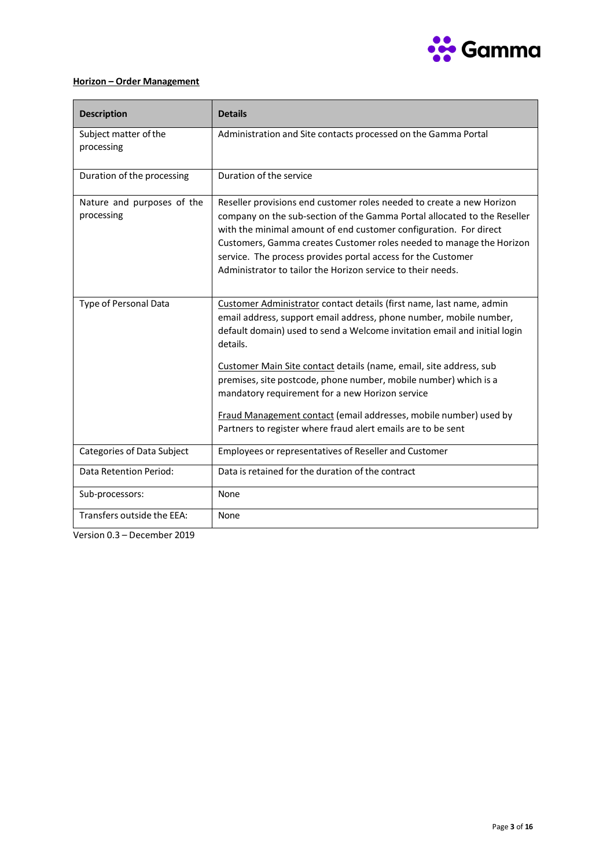

# <span id="page-2-0"></span>**Horizon – Order Management**

| <b>Description</b>                       | <b>Details</b>                                                                                                                                                                                                                                                                                                                                                                                                                                                                                                                                                        |
|------------------------------------------|-----------------------------------------------------------------------------------------------------------------------------------------------------------------------------------------------------------------------------------------------------------------------------------------------------------------------------------------------------------------------------------------------------------------------------------------------------------------------------------------------------------------------------------------------------------------------|
| Subject matter of the<br>processing      | Administration and Site contacts processed on the Gamma Portal                                                                                                                                                                                                                                                                                                                                                                                                                                                                                                        |
| Duration of the processing               | Duration of the service                                                                                                                                                                                                                                                                                                                                                                                                                                                                                                                                               |
| Nature and purposes of the<br>processing | Reseller provisions end customer roles needed to create a new Horizon<br>company on the sub-section of the Gamma Portal allocated to the Reseller<br>with the minimal amount of end customer configuration. For direct<br>Customers, Gamma creates Customer roles needed to manage the Horizon<br>service. The process provides portal access for the Customer<br>Administrator to tailor the Horizon service to their needs.                                                                                                                                         |
| Type of Personal Data                    | Customer Administrator contact details (first name, last name, admin<br>email address, support email address, phone number, mobile number,<br>default domain) used to send a Welcome invitation email and initial login<br>details.<br>Customer Main Site contact details (name, email, site address, sub<br>premises, site postcode, phone number, mobile number) which is a<br>mandatory requirement for a new Horizon service<br>Fraud Management contact (email addresses, mobile number) used by<br>Partners to register where fraud alert emails are to be sent |
| Categories of Data Subject               | Employees or representatives of Reseller and Customer                                                                                                                                                                                                                                                                                                                                                                                                                                                                                                                 |
| <b>Data Retention Period:</b>            | Data is retained for the duration of the contract                                                                                                                                                                                                                                                                                                                                                                                                                                                                                                                     |
| Sub-processors:                          | None                                                                                                                                                                                                                                                                                                                                                                                                                                                                                                                                                                  |
| Transfers outside the EEA:               | None                                                                                                                                                                                                                                                                                                                                                                                                                                                                                                                                                                  |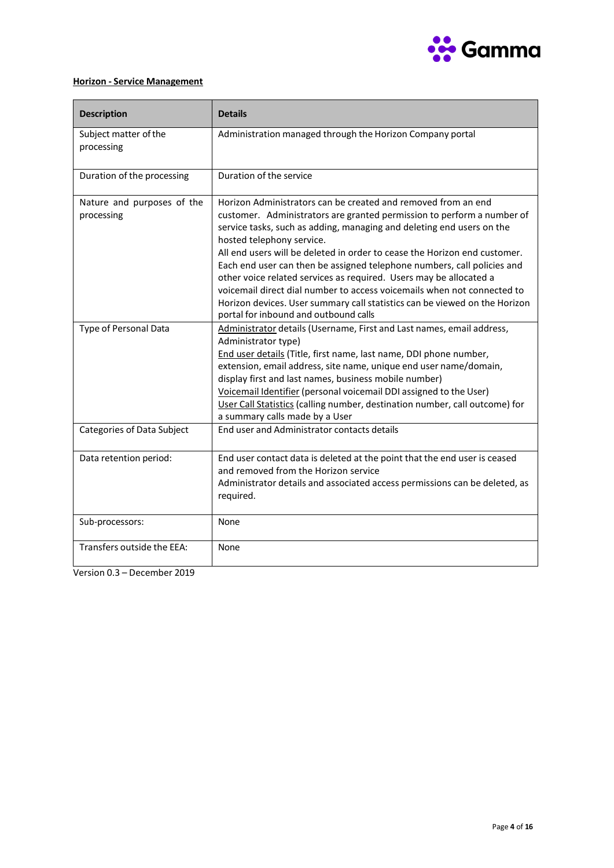

# <span id="page-3-0"></span>**Horizon - Service Management**

| <b>Description</b>                       | <b>Details</b>                                                                                                                                                                                                                                                                                                                                                                                                                                                                                                                                                                                                                                                                |
|------------------------------------------|-------------------------------------------------------------------------------------------------------------------------------------------------------------------------------------------------------------------------------------------------------------------------------------------------------------------------------------------------------------------------------------------------------------------------------------------------------------------------------------------------------------------------------------------------------------------------------------------------------------------------------------------------------------------------------|
| Subject matter of the<br>processing      | Administration managed through the Horizon Company portal                                                                                                                                                                                                                                                                                                                                                                                                                                                                                                                                                                                                                     |
| Duration of the processing               | Duration of the service                                                                                                                                                                                                                                                                                                                                                                                                                                                                                                                                                                                                                                                       |
| Nature and purposes of the<br>processing | Horizon Administrators can be created and removed from an end<br>customer. Administrators are granted permission to perform a number of<br>service tasks, such as adding, managing and deleting end users on the<br>hosted telephony service.<br>All end users will be deleted in order to cease the Horizon end customer.<br>Each end user can then be assigned telephone numbers, call policies and<br>other voice related services as required. Users may be allocated a<br>voicemail direct dial number to access voicemails when not connected to<br>Horizon devices. User summary call statistics can be viewed on the Horizon<br>portal for inbound and outbound calls |
| Type of Personal Data                    | Administrator details (Username, First and Last names, email address,<br>Administrator type)<br>End user details (Title, first name, last name, DDI phone number,<br>extension, email address, site name, unique end user name/domain,<br>display first and last names, business mobile number)<br>Voicemail Identifier (personal voicemail DDI assigned to the User)<br>User Call Statistics (calling number, destination number, call outcome) for<br>a summary calls made by a User                                                                                                                                                                                        |
| Categories of Data Subject               | End user and Administrator contacts details                                                                                                                                                                                                                                                                                                                                                                                                                                                                                                                                                                                                                                   |
| Data retention period:                   | End user contact data is deleted at the point that the end user is ceased<br>and removed from the Horizon service<br>Administrator details and associated access permissions can be deleted, as<br>required.                                                                                                                                                                                                                                                                                                                                                                                                                                                                  |
| Sub-processors:                          | None                                                                                                                                                                                                                                                                                                                                                                                                                                                                                                                                                                                                                                                                          |
| Transfers outside the EEA:               | None                                                                                                                                                                                                                                                                                                                                                                                                                                                                                                                                                                                                                                                                          |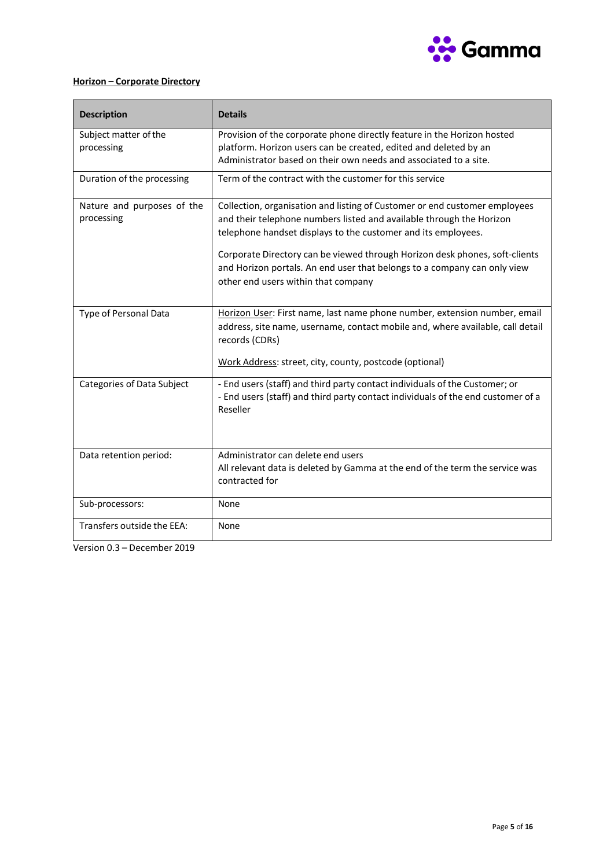

# <span id="page-4-0"></span>**Horizon – Corporate Directory**

| <b>Description</b>                       | <b>Details</b>                                                                                                                                                                                                                                                                                                                                                                                                        |
|------------------------------------------|-----------------------------------------------------------------------------------------------------------------------------------------------------------------------------------------------------------------------------------------------------------------------------------------------------------------------------------------------------------------------------------------------------------------------|
| Subject matter of the<br>processing      | Provision of the corporate phone directly feature in the Horizon hosted<br>platform. Horizon users can be created, edited and deleted by an<br>Administrator based on their own needs and associated to a site.                                                                                                                                                                                                       |
| Duration of the processing               | Term of the contract with the customer for this service                                                                                                                                                                                                                                                                                                                                                               |
| Nature and purposes of the<br>processing | Collection, organisation and listing of Customer or end customer employees<br>and their telephone numbers listed and available through the Horizon<br>telephone handset displays to the customer and its employees.<br>Corporate Directory can be viewed through Horizon desk phones, soft-clients<br>and Horizon portals. An end user that belongs to a company can only view<br>other end users within that company |
| Type of Personal Data                    | Horizon User: First name, last name phone number, extension number, email<br>address, site name, username, contact mobile and, where available, call detail<br>records (CDRs)<br>Work Address: street, city, county, postcode (optional)                                                                                                                                                                              |
| Categories of Data Subject               | - End users (staff) and third party contact individuals of the Customer; or<br>- End users (staff) and third party contact individuals of the end customer of a<br>Reseller                                                                                                                                                                                                                                           |
| Data retention period:                   | Administrator can delete end users<br>All relevant data is deleted by Gamma at the end of the term the service was<br>contracted for                                                                                                                                                                                                                                                                                  |
| Sub-processors:                          | None                                                                                                                                                                                                                                                                                                                                                                                                                  |
| Transfers outside the EEA:               | None                                                                                                                                                                                                                                                                                                                                                                                                                  |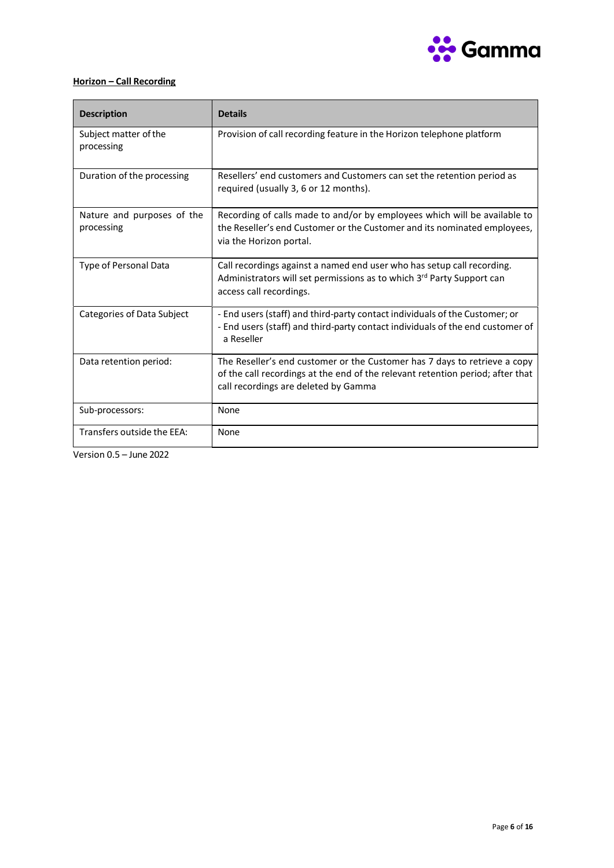

# <span id="page-5-0"></span>**Horizon – Call Recording**

| <b>Description</b>                       | <b>Details</b>                                                                                                                                                                                      |
|------------------------------------------|-----------------------------------------------------------------------------------------------------------------------------------------------------------------------------------------------------|
| Subject matter of the<br>processing      | Provision of call recording feature in the Horizon telephone platform                                                                                                                               |
| Duration of the processing               | Resellers' end customers and Customers can set the retention period as<br>required (usually 3, 6 or 12 months).                                                                                     |
| Nature and purposes of the<br>processing | Recording of calls made to and/or by employees which will be available to<br>the Reseller's end Customer or the Customer and its nominated employees,<br>via the Horizon portal.                    |
| Type of Personal Data                    | Call recordings against a named end user who has setup call recording.<br>Administrators will set permissions as to which 3rd Party Support can<br>access call recordings.                          |
| Categories of Data Subject               | - End users (staff) and third-party contact individuals of the Customer; or<br>- End users (staff) and third-party contact individuals of the end customer of<br>a Reseller                         |
| Data retention period:                   | The Reseller's end customer or the Customer has 7 days to retrieve a copy<br>of the call recordings at the end of the relevant retention period; after that<br>call recordings are deleted by Gamma |
| Sub-processors:                          | None                                                                                                                                                                                                |
| Transfers outside the EEA:               | None                                                                                                                                                                                                |

Version 0.5 – June 2022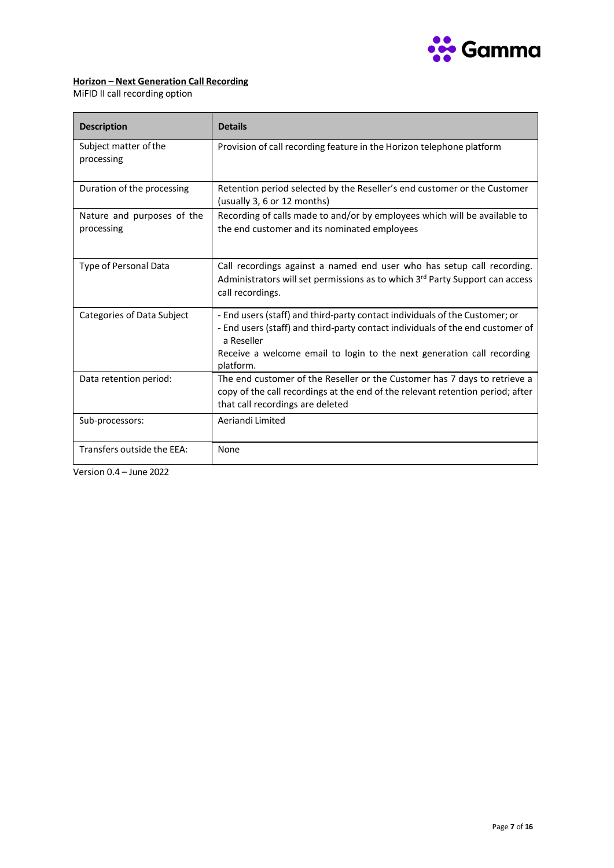

# <span id="page-6-0"></span>**Horizon – Next Generation Call Recording**

MiFID II call recording option

| <b>Description</b>                       | <b>Details</b>                                                                                                                                                                                                                                                     |
|------------------------------------------|--------------------------------------------------------------------------------------------------------------------------------------------------------------------------------------------------------------------------------------------------------------------|
| Subject matter of the<br>processing      | Provision of call recording feature in the Horizon telephone platform                                                                                                                                                                                              |
| Duration of the processing               | Retention period selected by the Reseller's end customer or the Customer<br>(usually 3, 6 or 12 months)                                                                                                                                                            |
| Nature and purposes of the<br>processing | Recording of calls made to and/or by employees which will be available to<br>the end customer and its nominated employees                                                                                                                                          |
| <b>Type of Personal Data</b>             | Call recordings against a named end user who has setup call recording.<br>Administrators will set permissions as to which 3rd Party Support can access<br>call recordings.                                                                                         |
| Categories of Data Subject               | - End users (staff) and third-party contact individuals of the Customer; or<br>- End users (staff) and third-party contact individuals of the end customer of<br>a Reseller<br>Receive a welcome email to login to the next generation call recording<br>platform. |
| Data retention period:                   | The end customer of the Reseller or the Customer has 7 days to retrieve a<br>copy of the call recordings at the end of the relevant retention period; after<br>that call recordings are deleted                                                                    |
| Sub-processors:                          | Aeriandi Limited                                                                                                                                                                                                                                                   |
| Transfers outside the EEA:               | None                                                                                                                                                                                                                                                               |

Version 0.4 – June 2022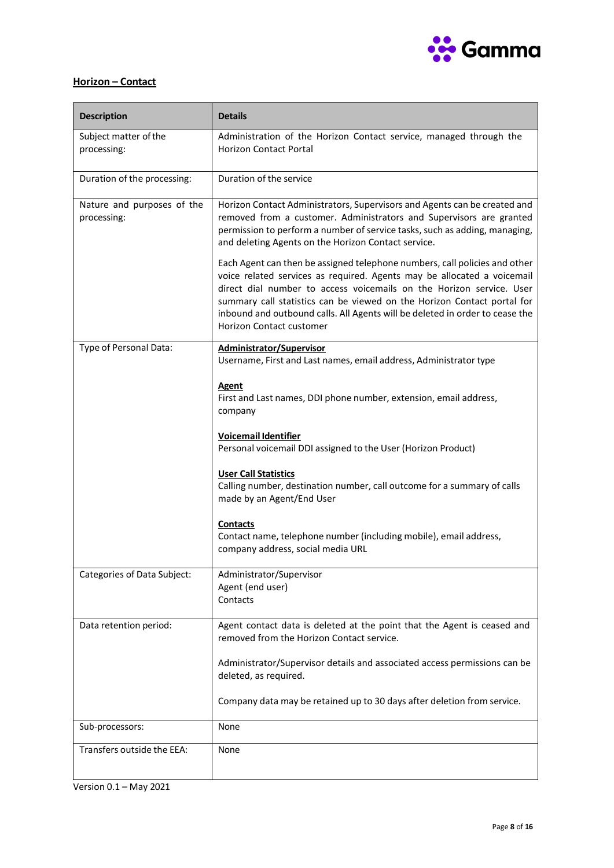

# <span id="page-7-0"></span>**Horizon – Contact**

| <b>Description</b>                        | <b>Details</b>                                                                                                                                                                                                                                                                                                                                                                                                              |
|-------------------------------------------|-----------------------------------------------------------------------------------------------------------------------------------------------------------------------------------------------------------------------------------------------------------------------------------------------------------------------------------------------------------------------------------------------------------------------------|
| Subject matter of the<br>processing:      | Administration of the Horizon Contact service, managed through the<br><b>Horizon Contact Portal</b>                                                                                                                                                                                                                                                                                                                         |
| Duration of the processing:               | Duration of the service                                                                                                                                                                                                                                                                                                                                                                                                     |
| Nature and purposes of the<br>processing: | Horizon Contact Administrators, Supervisors and Agents can be created and<br>removed from a customer. Administrators and Supervisors are granted<br>permission to perform a number of service tasks, such as adding, managing,<br>and deleting Agents on the Horizon Contact service.                                                                                                                                       |
|                                           | Each Agent can then be assigned telephone numbers, call policies and other<br>voice related services as required. Agents may be allocated a voicemail<br>direct dial number to access voicemails on the Horizon service. User<br>summary call statistics can be viewed on the Horizon Contact portal for<br>inbound and outbound calls. All Agents will be deleted in order to cease the<br><b>Horizon Contact customer</b> |
| Type of Personal Data:                    | Administrator/Supervisor<br>Username, First and Last names, email address, Administrator type                                                                                                                                                                                                                                                                                                                               |
|                                           | <b>Agent</b><br>First and Last names, DDI phone number, extension, email address,<br>company                                                                                                                                                                                                                                                                                                                                |
|                                           | <b>Voicemail Identifier</b><br>Personal voicemail DDI assigned to the User (Horizon Product)                                                                                                                                                                                                                                                                                                                                |
|                                           | <b>User Call Statistics</b><br>Calling number, destination number, call outcome for a summary of calls<br>made by an Agent/End User                                                                                                                                                                                                                                                                                         |
|                                           | <b>Contacts</b><br>Contact name, telephone number (including mobile), email address,<br>company address, social media URL                                                                                                                                                                                                                                                                                                   |
| <b>Categories of Data Subject:</b>        | Administrator/Supervisor<br>Agent (end user)<br>Contacts                                                                                                                                                                                                                                                                                                                                                                    |
| Data retention period:                    | Agent contact data is deleted at the point that the Agent is ceased and<br>removed from the Horizon Contact service.                                                                                                                                                                                                                                                                                                        |
|                                           | Administrator/Supervisor details and associated access permissions can be<br>deleted, as required.                                                                                                                                                                                                                                                                                                                          |
|                                           | Company data may be retained up to 30 days after deletion from service.                                                                                                                                                                                                                                                                                                                                                     |
| Sub-processors:                           | None                                                                                                                                                                                                                                                                                                                                                                                                                        |
| Transfers outside the EEA:                | None                                                                                                                                                                                                                                                                                                                                                                                                                        |

Version 0.1 – May 2021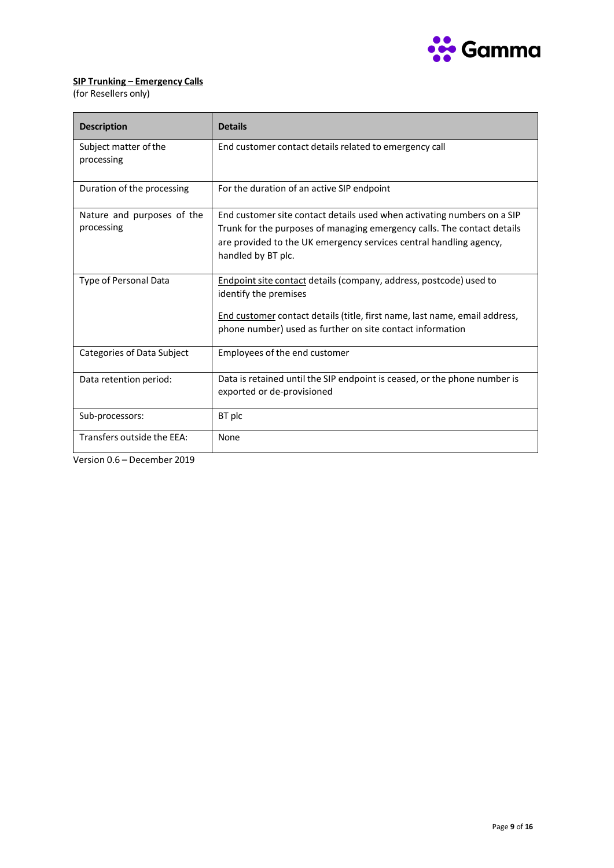

# <span id="page-8-0"></span>**SIP Trunking – Emergency Calls**

(for Resellers only)

| <b>Description</b>                       | <b>Details</b>                                                                                                                                                                                                                                 |
|------------------------------------------|------------------------------------------------------------------------------------------------------------------------------------------------------------------------------------------------------------------------------------------------|
| Subject matter of the<br>processing      | End customer contact details related to emergency call                                                                                                                                                                                         |
| Duration of the processing               | For the duration of an active SIP endpoint                                                                                                                                                                                                     |
| Nature and purposes of the<br>processing | End customer site contact details used when activating numbers on a SIP<br>Trunk for the purposes of managing emergency calls. The contact details<br>are provided to the UK emergency services central handling agency,<br>handled by BT plc. |
| Type of Personal Data                    | <b>Endpoint site contact details (company, address, postcode) used to</b><br>identify the premises<br>End customer contact details (title, first name, last name, email address,<br>phone number) used as further on site contact information  |
| Categories of Data Subject               | Employees of the end customer                                                                                                                                                                                                                  |
| Data retention period:                   | Data is retained until the SIP endpoint is ceased, or the phone number is<br>exported or de-provisioned                                                                                                                                        |
| Sub-processors:                          | BT plc                                                                                                                                                                                                                                         |
| Transfers outside the EEA:               | None                                                                                                                                                                                                                                           |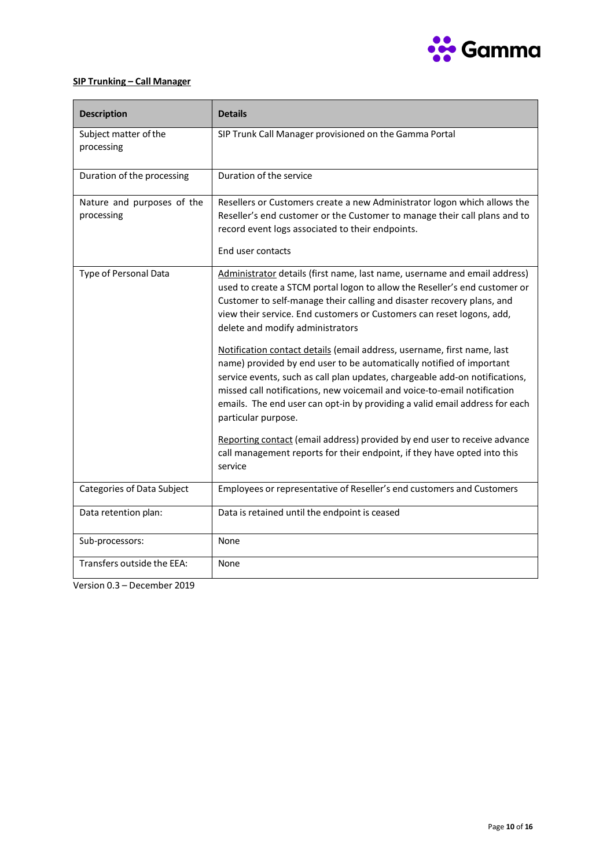

# <span id="page-9-0"></span>**SIP Trunking – Call Manager**

| <b>Description</b>                       | <b>Details</b>                                                                                                                                                                                                                                                                                                                                                                                                   |
|------------------------------------------|------------------------------------------------------------------------------------------------------------------------------------------------------------------------------------------------------------------------------------------------------------------------------------------------------------------------------------------------------------------------------------------------------------------|
| Subject matter of the<br>processing      | SIP Trunk Call Manager provisioned on the Gamma Portal                                                                                                                                                                                                                                                                                                                                                           |
| Duration of the processing               | Duration of the service                                                                                                                                                                                                                                                                                                                                                                                          |
| Nature and purposes of the<br>processing | Resellers or Customers create a new Administrator logon which allows the<br>Reseller's end customer or the Customer to manage their call plans and to<br>record event logs associated to their endpoints.<br>End user contacts                                                                                                                                                                                   |
| Type of Personal Data                    | Administrator details (first name, last name, username and email address)<br>used to create a STCM portal logon to allow the Reseller's end customer or<br>Customer to self-manage their calling and disaster recovery plans, and<br>view their service. End customers or Customers can reset logons, add,<br>delete and modify administrators                                                                   |
|                                          | Notification contact details (email address, username, first name, last<br>name) provided by end user to be automatically notified of important<br>service events, such as call plan updates, chargeable add-on notifications,<br>missed call notifications, new voicemail and voice-to-email notification<br>emails. The end user can opt-in by providing a valid email address for each<br>particular purpose. |
|                                          | Reporting contact (email address) provided by end user to receive advance<br>call management reports for their endpoint, if they have opted into this<br>service                                                                                                                                                                                                                                                 |
| Categories of Data Subject               | Employees or representative of Reseller's end customers and Customers                                                                                                                                                                                                                                                                                                                                            |
| Data retention plan:                     | Data is retained until the endpoint is ceased                                                                                                                                                                                                                                                                                                                                                                    |
| Sub-processors:                          | None                                                                                                                                                                                                                                                                                                                                                                                                             |
| Transfers outside the EEA:               | None                                                                                                                                                                                                                                                                                                                                                                                                             |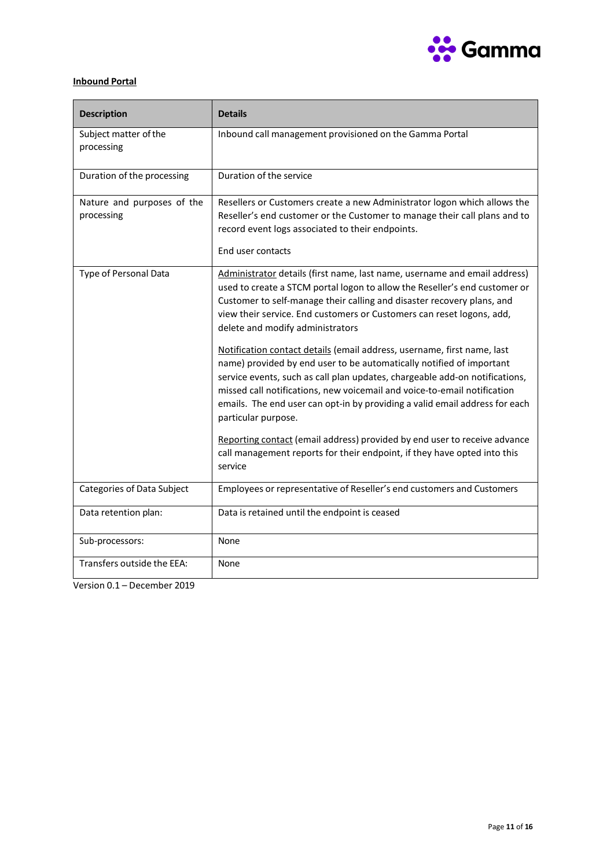

# <span id="page-10-0"></span>**Inbound Portal**

| <b>Description</b>                       | <b>Details</b>                                                                                                                                                                                                                                                                                                                                                                                                   |
|------------------------------------------|------------------------------------------------------------------------------------------------------------------------------------------------------------------------------------------------------------------------------------------------------------------------------------------------------------------------------------------------------------------------------------------------------------------|
| Subject matter of the<br>processing      | Inbound call management provisioned on the Gamma Portal                                                                                                                                                                                                                                                                                                                                                          |
| Duration of the processing               | Duration of the service                                                                                                                                                                                                                                                                                                                                                                                          |
| Nature and purposes of the<br>processing | Resellers or Customers create a new Administrator logon which allows the<br>Reseller's end customer or the Customer to manage their call plans and to<br>record event logs associated to their endpoints.<br>End user contacts                                                                                                                                                                                   |
| Type of Personal Data                    | Administrator details (first name, last name, username and email address)<br>used to create a STCM portal logon to allow the Reseller's end customer or<br>Customer to self-manage their calling and disaster recovery plans, and<br>view their service. End customers or Customers can reset logons, add,<br>delete and modify administrators                                                                   |
|                                          | Notification contact details (email address, username, first name, last<br>name) provided by end user to be automatically notified of important<br>service events, such as call plan updates, chargeable add-on notifications,<br>missed call notifications, new voicemail and voice-to-email notification<br>emails. The end user can opt-in by providing a valid email address for each<br>particular purpose. |
|                                          | Reporting contact (email address) provided by end user to receive advance<br>call management reports for their endpoint, if they have opted into this<br>service                                                                                                                                                                                                                                                 |
| Categories of Data Subject               | Employees or representative of Reseller's end customers and Customers                                                                                                                                                                                                                                                                                                                                            |
| Data retention plan:                     | Data is retained until the endpoint is ceased                                                                                                                                                                                                                                                                                                                                                                    |
| Sub-processors:                          | None                                                                                                                                                                                                                                                                                                                                                                                                             |
| Transfers outside the EEA:               | None                                                                                                                                                                                                                                                                                                                                                                                                             |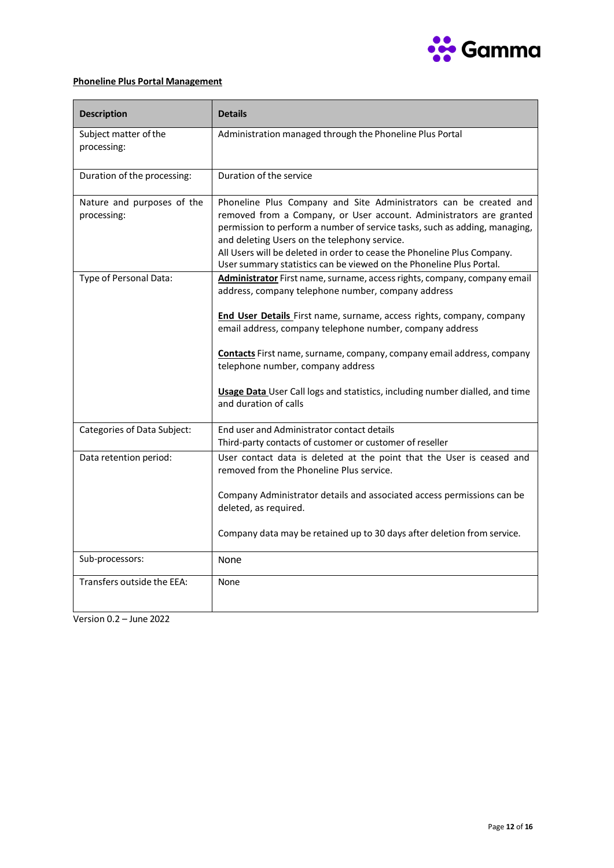

# <span id="page-11-0"></span>**Phoneline Plus Portal Management**

| <b>Description</b>                        | <b>Details</b>                                                                                                                                                                                                                                                                                                                                                                                                                                                                                           |
|-------------------------------------------|----------------------------------------------------------------------------------------------------------------------------------------------------------------------------------------------------------------------------------------------------------------------------------------------------------------------------------------------------------------------------------------------------------------------------------------------------------------------------------------------------------|
| Subject matter of the<br>processing:      | Administration managed through the Phoneline Plus Portal                                                                                                                                                                                                                                                                                                                                                                                                                                                 |
| Duration of the processing:               | Duration of the service                                                                                                                                                                                                                                                                                                                                                                                                                                                                                  |
| Nature and purposes of the<br>processing: | Phoneline Plus Company and Site Administrators can be created and<br>removed from a Company, or User account. Administrators are granted<br>permission to perform a number of service tasks, such as adding, managing,<br>and deleting Users on the telephony service.<br>All Users will be deleted in order to cease the Phoneline Plus Company.<br>User summary statistics can be viewed on the Phoneline Plus Portal.                                                                                 |
| Type of Personal Data:                    | Administrator First name, surname, access rights, company, company email<br>address, company telephone number, company address<br><b>End User Details</b> First name, surname, access rights, company, company<br>email address, company telephone number, company address<br><b>Contacts</b> First name, surname, company, company email address, company<br>telephone number, company address<br>Usage Data User Call logs and statistics, including number dialled, and time<br>and duration of calls |
| Categories of Data Subject:               | End user and Administrator contact details<br>Third-party contacts of customer or customer of reseller                                                                                                                                                                                                                                                                                                                                                                                                   |
| Data retention period:                    | User contact data is deleted at the point that the User is ceased and<br>removed from the Phoneline Plus service.<br>Company Administrator details and associated access permissions can be<br>deleted, as required.<br>Company data may be retained up to 30 days after deletion from service.                                                                                                                                                                                                          |
| Sub-processors:                           | None                                                                                                                                                                                                                                                                                                                                                                                                                                                                                                     |
| Transfers outside the EEA:                | None                                                                                                                                                                                                                                                                                                                                                                                                                                                                                                     |

Version 0.2 – June 2022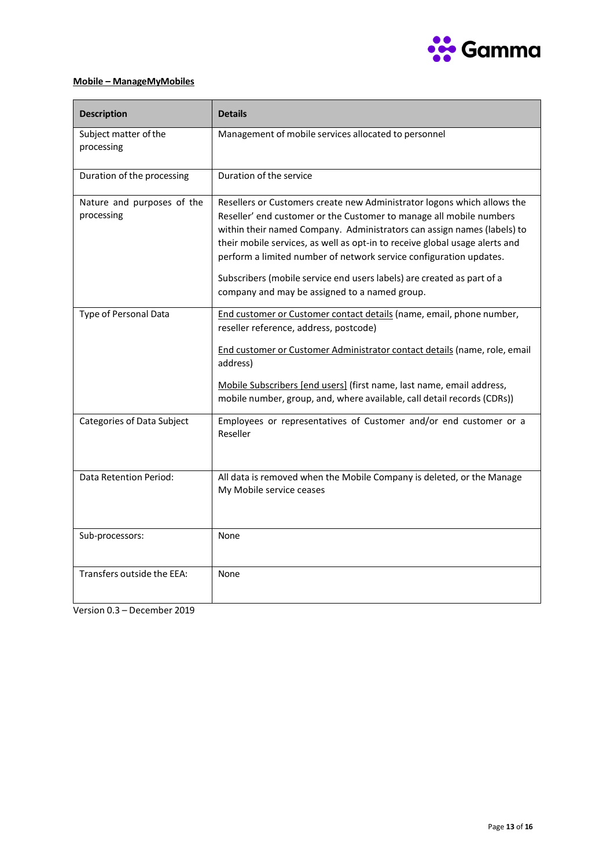

# <span id="page-12-0"></span>**Mobile – ManageMyMobiles**

| <b>Description</b>                       | <b>Details</b>                                                                                                                                                                                                                                                                                                                                                                                                                                                                                            |
|------------------------------------------|-----------------------------------------------------------------------------------------------------------------------------------------------------------------------------------------------------------------------------------------------------------------------------------------------------------------------------------------------------------------------------------------------------------------------------------------------------------------------------------------------------------|
| Subject matter of the<br>processing      | Management of mobile services allocated to personnel                                                                                                                                                                                                                                                                                                                                                                                                                                                      |
| Duration of the processing               | Duration of the service                                                                                                                                                                                                                                                                                                                                                                                                                                                                                   |
| Nature and purposes of the<br>processing | Resellers or Customers create new Administrator logons which allows the<br>Reseller' end customer or the Customer to manage all mobile numbers<br>within their named Company. Administrators can assign names (labels) to<br>their mobile services, as well as opt-in to receive global usage alerts and<br>perform a limited number of network service configuration updates.<br>Subscribers (mobile service end users labels) are created as part of a<br>company and may be assigned to a named group. |
| Type of Personal Data                    | End customer or Customer contact details (name, email, phone number,<br>reseller reference, address, postcode)<br>End customer or Customer Administrator contact details (name, role, email<br>address)<br>Mobile Subscribers [end users] (first name, last name, email address,<br>mobile number, group, and, where available, call detail records (CDRs))                                                                                                                                               |
| Categories of Data Subject               | Employees or representatives of Customer and/or end customer or a<br>Reseller                                                                                                                                                                                                                                                                                                                                                                                                                             |
| Data Retention Period:                   | All data is removed when the Mobile Company is deleted, or the Manage<br>My Mobile service ceases                                                                                                                                                                                                                                                                                                                                                                                                         |
| Sub-processors:                          | None                                                                                                                                                                                                                                                                                                                                                                                                                                                                                                      |
| Transfers outside the EEA:               | None                                                                                                                                                                                                                                                                                                                                                                                                                                                                                                      |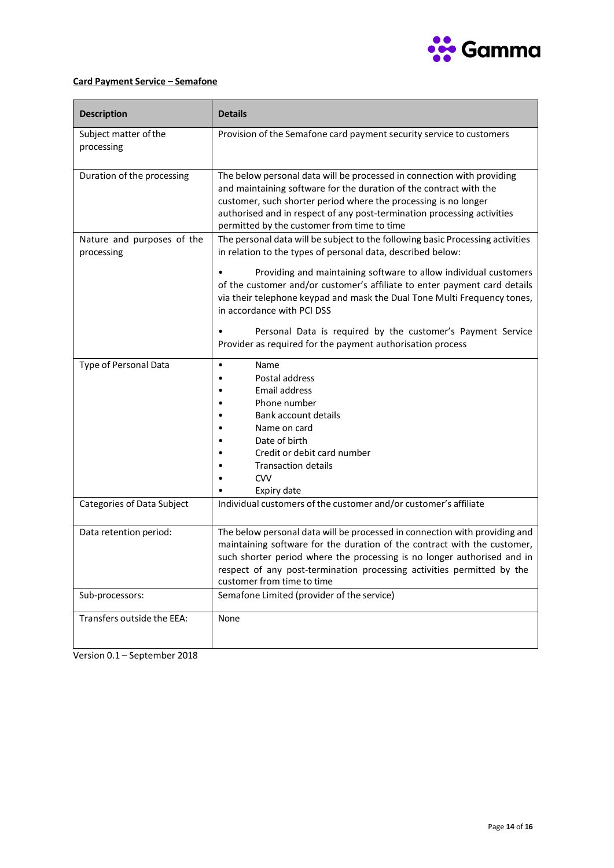

# <span id="page-13-0"></span>**Card Payment Service – Semafone**

| <b>Description</b>                       | <b>Details</b>                                                                                                                                                                                                                                                                                                                            |
|------------------------------------------|-------------------------------------------------------------------------------------------------------------------------------------------------------------------------------------------------------------------------------------------------------------------------------------------------------------------------------------------|
| Subject matter of the<br>processing      | Provision of the Semafone card payment security service to customers                                                                                                                                                                                                                                                                      |
| Duration of the processing               | The below personal data will be processed in connection with providing<br>and maintaining software for the duration of the contract with the<br>customer, such shorter period where the processing is no longer<br>authorised and in respect of any post-termination processing activities<br>permitted by the customer from time to time |
| Nature and purposes of the<br>processing | The personal data will be subject to the following basic Processing activities<br>in relation to the types of personal data, described below:                                                                                                                                                                                             |
|                                          | Providing and maintaining software to allow individual customers<br>of the customer and/or customer's affiliate to enter payment card details<br>via their telephone keypad and mask the Dual Tone Multi Frequency tones,<br>in accordance with PCI DSS                                                                                   |
|                                          | Personal Data is required by the customer's Payment Service<br>Provider as required for the payment authorisation process                                                                                                                                                                                                                 |
| Type of Personal Data                    | Name<br>$\bullet$<br>Postal address<br><b>Email address</b><br>Phone number<br><b>Bank account details</b><br>Name on card<br>Date of birth<br>Credit or debit card number<br><b>Transaction details</b><br><b>CVV</b><br>Expiry date                                                                                                     |
| Categories of Data Subject               | Individual customers of the customer and/or customer's affiliate                                                                                                                                                                                                                                                                          |
| Data retention period:                   | The below personal data will be processed in connection with providing and<br>maintaining software for the duration of the contract with the customer,<br>such shorter period where the processing is no longer authorised and in<br>respect of any post-termination processing activities permitted by the<br>customer from time to time |
| Sub-processors:                          | Semafone Limited (provider of the service)                                                                                                                                                                                                                                                                                                |
| Transfers outside the EEA:               | None                                                                                                                                                                                                                                                                                                                                      |

Version 0.1 – September 2018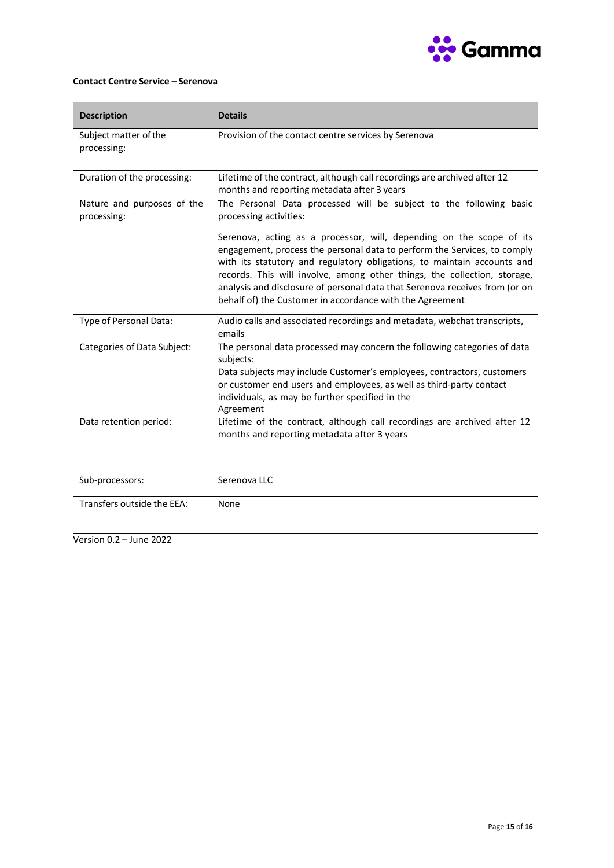

# <span id="page-14-0"></span>**Contact Centre Service – Serenova**

| <b>Description</b>                        | <b>Details</b>                                                                                                                                                                                                                                                                                                                                                                                                                                     |
|-------------------------------------------|----------------------------------------------------------------------------------------------------------------------------------------------------------------------------------------------------------------------------------------------------------------------------------------------------------------------------------------------------------------------------------------------------------------------------------------------------|
| Subject matter of the<br>processing:      | Provision of the contact centre services by Serenova                                                                                                                                                                                                                                                                                                                                                                                               |
| Duration of the processing:               | Lifetime of the contract, although call recordings are archived after 12<br>months and reporting metadata after 3 years                                                                                                                                                                                                                                                                                                                            |
| Nature and purposes of the<br>processing: | The Personal Data processed will be subject to the following basic<br>processing activities:                                                                                                                                                                                                                                                                                                                                                       |
|                                           | Serenova, acting as a processor, will, depending on the scope of its<br>engagement, process the personal data to perform the Services, to comply<br>with its statutory and regulatory obligations, to maintain accounts and<br>records. This will involve, among other things, the collection, storage,<br>analysis and disclosure of personal data that Serenova receives from (or on<br>behalf of) the Customer in accordance with the Agreement |
| Type of Personal Data:                    | Audio calls and associated recordings and metadata, webchat transcripts,<br>emails                                                                                                                                                                                                                                                                                                                                                                 |
| Categories of Data Subject:               | The personal data processed may concern the following categories of data<br>subjects:<br>Data subjects may include Customer's employees, contractors, customers<br>or customer end users and employees, as well as third-party contact<br>individuals, as may be further specified in the<br>Agreement                                                                                                                                             |
| Data retention period:                    | Lifetime of the contract, although call recordings are archived after 12<br>months and reporting metadata after 3 years                                                                                                                                                                                                                                                                                                                            |
| Sub-processors:                           | Serenova LLC                                                                                                                                                                                                                                                                                                                                                                                                                                       |
| Transfers outside the EEA:                | None                                                                                                                                                                                                                                                                                                                                                                                                                                               |

Version 0.2 – June 2022